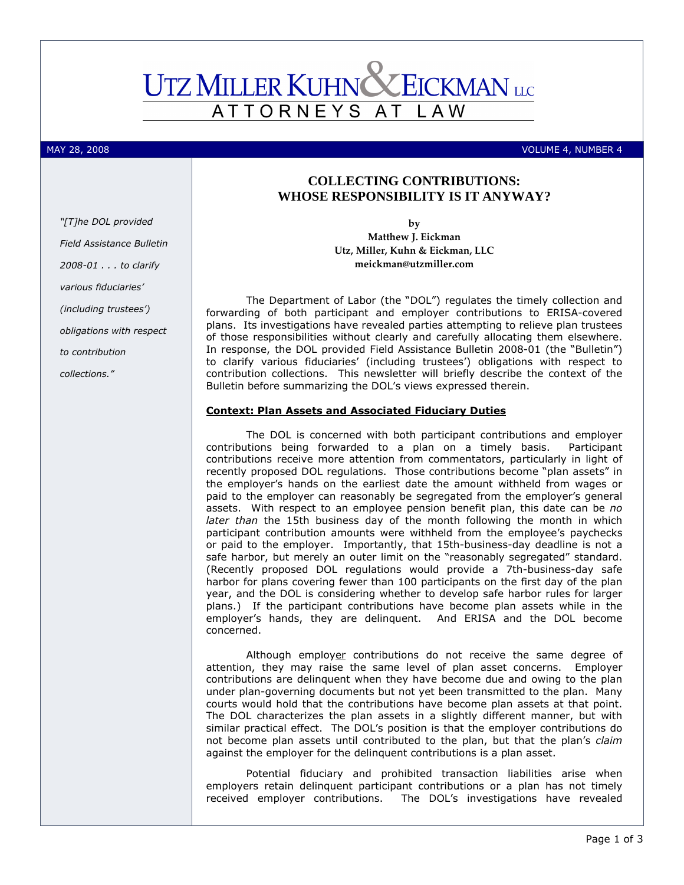# **UTZ MILLER KUHNC** EICKMAN LLC ATTORNEYS AT L A W

MAY 28, 2008 VOLUME 4, NUMBER 4

# **COLLECTING CONTRIBUTIONS: WHOSE RESPONSIBILITY IS IT ANYWAY?**

by Matthew J. Eickman Utz, Miller, Kuhn & Eickman, LLC meickman@utzmiller.com

The Department of Labor (the "DOL") regulates the timely collection and forwarding of both participant and employer contributions to ERISA-covered plans. Its investigations have revealed parties attempting to relieve plan trustees of those responsibilities without clearly and carefully allocating them elsewhere. In response, the DOL provided Field Assistance Bulletin 2008-01 (the "Bulletin") to clarify various fiduciaries' (including trustees') obligations with respect to contribution collections. This newsletter will briefly describe the context of the Bulletin before summarizing the DOL's views expressed therein.

## Context: Plan Assets and Associated Fiduciary Duties

The DOL is concerned with both participant contributions and employer contributions being forwarded to a plan on a timely basis. Participant contributions receive more attention from commentators, particularly in light of recently proposed DOL regulations. Those contributions become "plan assets" in the employer's hands on the earliest date the amount withheld from wages or paid to the employer can reasonably be segregated from the employer's general assets. With respect to an employee pension benefit plan, this date can be no later than the 15th business day of the month following the month in which participant contribution amounts were withheld from the employee's paychecks or paid to the employer. Importantly, that 15th-business-day deadline is not a safe harbor, but merely an outer limit on the "reasonably segregated" standard. (Recently proposed DOL regulations would provide a 7th-business-day safe harbor for plans covering fewer than 100 participants on the first day of the plan year, and the DOL is considering whether to develop safe harbor rules for larger plans.) If the participant contributions have become plan assets while in the employer's hands, they are delinquent. And ERISA and the DOL become concerned.

Although employer contributions do not receive the same degree of attention, they may raise the same level of plan asset concerns. Employer contributions are delinquent when they have become due and owing to the plan under plan-governing documents but not yet been transmitted to the plan. Many courts would hold that the contributions have become plan assets at that point. The DOL characterizes the plan assets in a slightly different manner, but with similar practical effect. The DOL's position is that the employer contributions do not become plan assets until contributed to the plan, but that the plan's claim against the employer for the delinquent contributions is a plan asset.

Potential fiduciary and prohibited transaction liabilities arise when employers retain delinquent participant contributions or a plan has not timely received employer contributions. The DOL's investigations have revealed

"[T]he DOL provided Field Assistance Bulletin 2008-01 . . . to clarify various fiduciaries' (including trustees') obligations with respect to contribution collections."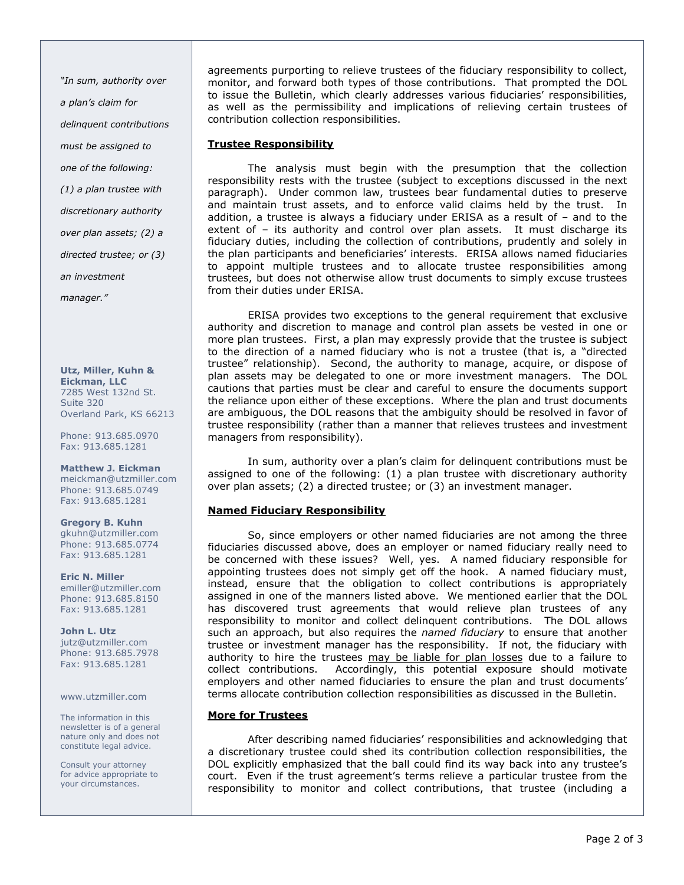"In sum, authority over a plan's claim for delinquent contributions must be assigned to one of the following: (1) a plan trustee with discretionary authority over plan assets; (2) a directed trustee; or (3) an investment manager."

Utz, Miller, Kuhn & Eickman, LLC 7285 West 132nd St. Suite 320 Overland Park, KS 66213

Phone: 913.685.0970 Fax: 913.685.1281

### Matthew J. Eickman

meickman@utzmiller.com Phone: 913.685.0749 Fax: 913.685.1281

Gregory B. Kuhn gkuhn@utzmiller.com Phone: 913.685.0774 Fax: 913.685.1281

Eric N. Miller emiller@utzmiller.com Phone: 913.685.8150 Fax: 913.685.1281

John L. Utz jutz@utzmiller.com Phone: 913.685.7978 Fax: 913.685.1281

www.utzmiller.com

The information in this newsletter is of a general nature only and does not constitute legal advice.

Consult your attorney for advice appropriate to your circumstances.

agreements purporting to relieve trustees of the fiduciary responsibility to collect, monitor, and forward both types of those contributions. That prompted the DOL to issue the Bulletin, which clearly addresses various fiduciaries' responsibilities, as well as the permissibility and implications of relieving certain trustees of contribution collection responsibilities.

## Trustee Responsibility

 The analysis must begin with the presumption that the collection responsibility rests with the trustee (subject to exceptions discussed in the next paragraph). Under common law, trustees bear fundamental duties to preserve and maintain trust assets, and to enforce valid claims held by the trust. In addition, a trustee is always a fiduciary under ERISA as a result of – and to the extent of – its authority and control over plan assets. It must discharge its fiduciary duties, including the collection of contributions, prudently and solely in the plan participants and beneficiaries' interests. ERISA allows named fiduciaries to appoint multiple trustees and to allocate trustee responsibilities among trustees, but does not otherwise allow trust documents to simply excuse trustees from their duties under ERISA.

 ERISA provides two exceptions to the general requirement that exclusive authority and discretion to manage and control plan assets be vested in one or more plan trustees. First, a plan may expressly provide that the trustee is subject to the direction of a named fiduciary who is not a trustee (that is, a "directed trustee" relationship). Second, the authority to manage, acquire, or dispose of plan assets may be delegated to one or more investment managers. The DOL cautions that parties must be clear and careful to ensure the documents support the reliance upon either of these exceptions. Where the plan and trust documents are ambiguous, the DOL reasons that the ambiguity should be resolved in favor of trustee responsibility (rather than a manner that relieves trustees and investment managers from responsibility).

 In sum, authority over a plan's claim for delinquent contributions must be assigned to one of the following: (1) a plan trustee with discretionary authority over plan assets; (2) a directed trustee; or (3) an investment manager.

## Named Fiduciary Responsibility

So, since employers or other named fiduciaries are not among the three fiduciaries discussed above, does an employer or named fiduciary really need to be concerned with these issues? Well, yes. A named fiduciary responsible for appointing trustees does not simply get off the hook. A named fiduciary must, instead, ensure that the obligation to collect contributions is appropriately assigned in one of the manners listed above. We mentioned earlier that the DOL has discovered trust agreements that would relieve plan trustees of any responsibility to monitor and collect delinquent contributions. The DOL allows such an approach, but also requires the named fiduciary to ensure that another trustee or investment manager has the responsibility. If not, the fiduciary with authority to hire the trustees may be liable for plan losses due to a failure to collect contributions. Accordingly, this potential exposure should motivate employers and other named fiduciaries to ensure the plan and trust documents' terms allocate contribution collection responsibilities as discussed in the Bulletin.

## More for Trustees

After describing named fiduciaries' responsibilities and acknowledging that a discretionary trustee could shed its contribution collection responsibilities, the DOL explicitly emphasized that the ball could find its way back into any trustee's court. Even if the trust agreement's terms relieve a particular trustee from the responsibility to monitor and collect contributions, that trustee (including a